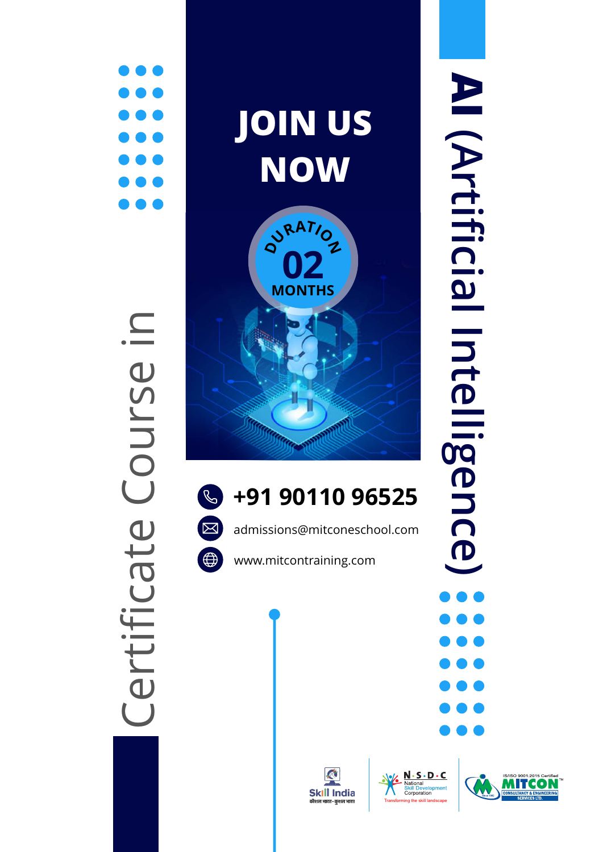







Certificate Course in

Certificate Course in

admissions@mitconeschool.com

A **Skill India** 

www.mitcontraining.com



Transforming the skill landscape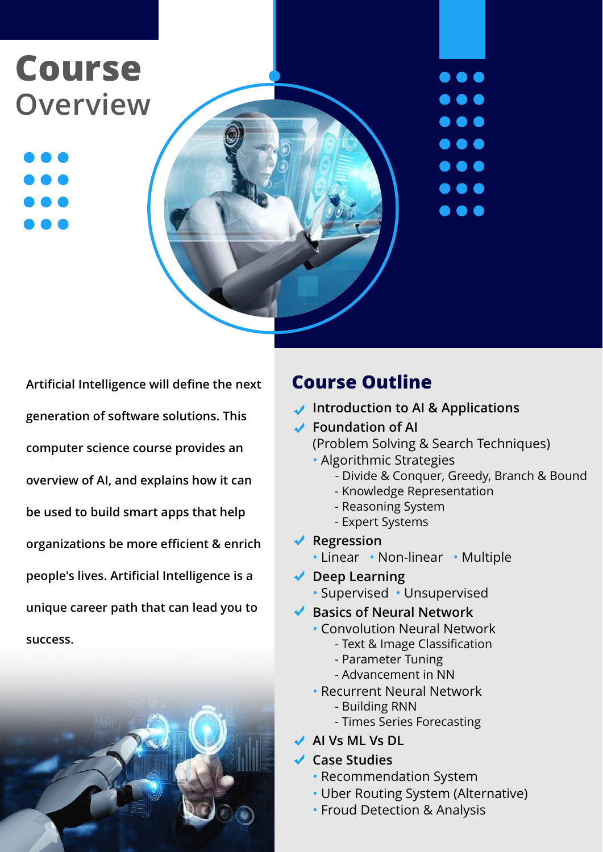### **Course Overview**

**Artificial Intelligence will define the next generation of software solutions. This computer science course provides an overview of AI, and explains how it can be used to build smart apps that help organizations be more efficient & enrich people's lives. Artificial Intelligence is a unique career path that can lead you to success.** 



#### **Course Outline**

- **Introduction to AI & Applications**
- **Foundation of AI**

(Problem Solving & Search Techniques)

- Algorithmic Strategies
	- Divide & Conquer, Greedy, Branch & Bound

 $\bullet\bullet\bullet$ 

 $\bullet$   $\bullet$ 

 $\bullet\bullet\bullet$ 

. . .

. . .

. . .

- Knowledge Representation
- Reasoning System
- Expert Systems
- **Regression** 
	- Linear Non-linear Multiple
- ◆ Deep Learning
	- Supervised Unsupervised
- ◆ Basics of Neural Network
	- Convolution Neural Network
		- Text & Image Classification
		- Parameter Tuning
		- Advancement in NN
	- Recurrent Neural Network
	- Building RNN
		- Times Series Forecasting
- **AI Vs ML Vs DL**

#### **Case Studies**

- Recommendation System
- Uber Routing System (Alternative)
- Froud Detection & Analysis